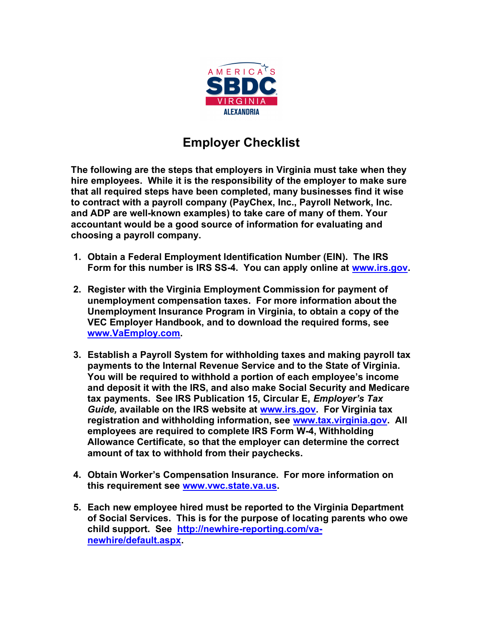

## Employer Checklist

The following are the steps that employers in Virginia must take when they hire employees. While it is the responsibility of the employer to make sure that all required steps have been completed, many businesses find it wise to contract with a payroll company (PayChex, Inc., Payroll Network, Inc. and ADP are well-known examples) to take care of many of them. Your accountant would be a good source of information for evaluating and choosing a payroll company.

- 1. Obtain a Federal Employment Identification Number (EIN). The IRS Form for this number is IRS SS-4. You can apply online at www.irs.gov.
- 2. Register with the Virginia Employment Commission for payment of unemployment compensation taxes. For more information about the Unemployment Insurance Program in Virginia, to obtain a copy of the VEC Employer Handbook, and to download the required forms, see www.VaEmploy.com.
- 3. Establish a Payroll System for withholding taxes and making payroll tax payments to the Internal Revenue Service and to the State of Virginia. You will be required to withhold a portion of each employee's income and deposit it with the IRS, and also make Social Security and Medicare tax payments. See IRS Publication 15, Circular E, Employer's Tax Guide, available on the IRS website at www.irs.gov. For Virginia tax registration and withholding information, see www.tax.virginia.gov. All employees are required to complete IRS Form W-4, Withholding Allowance Certificate, so that the employer can determine the correct amount of tax to withhold from their paychecks.
- 4. Obtain Worker's Compensation Insurance. For more information on this requirement see www.vwc.state.va.us.
- 5. Each new employee hired must be reported to the Virginia Department of Social Services. This is for the purpose of locating parents who owe child support. See http://newhire-reporting.com/vanewhire/default.aspx.